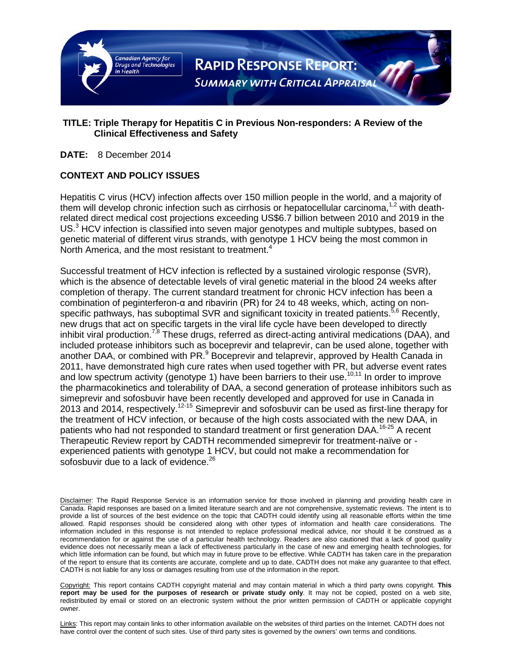

## **TITLE: Triple Therapy for Hepatitis C in Previous Non-responders: A Review of the Clinical Effectiveness and Safety**

**DATE:** 8 December 2014

## **CONTEXT AND POLICY ISSUES**

Hepatitis C virus (HCV) infection affects over 150 million people in the world, and a majority of them will develop chronic infection such as cirrhosis or hepatocellular carcinoma,  $1.2$  with deathrelated direct medical cost projections exceeding US\$6.7 billion between 2010 and 2019 in the  $US<sup>3</sup>$  HCV infection is classified into seven major genotypes and multiple subtypes, based on genetic material of different virus strands, with genotype 1 HCV being the most common in North America, and the most resistant to treatment.<sup>4</sup>

Successful treatment of HCV infection is reflected by a sustained virologic response (SVR), which is the absence of detectable levels of viral genetic material in the blood 24 weeks after completion of therapy. The current standard treatment for chronic HCV infection has been a combination of peginterferon-α and ribavirin (PR) for 24 to 48 weeks, which, acting on nonspecific pathways, has suboptimal SVR and significant toxicity in treated patients.<sup>5,6</sup> Recently, new drugs that act on specific targets in the viral life cycle have been developed to directly inhibit viral production.<sup>7,8</sup> These drugs, referred as direct-acting antiviral medications (DAA), and included protease inhibitors such as boceprevir and telaprevir, can be used alone, together with another DAA, or combined with PR.<sup>9</sup> Boceprevir and telaprevir, approved by Health Canada in 2011, have demonstrated high cure rates when used together with PR, but adverse event rates and low spectrum activity (genotype 1) have been barriers to their use.<sup>10,11</sup> In order to improve the pharmacokinetics and tolerability of DAA, a second generation of protease inhibitors such as simeprevir and sofosbuvir have been recently developed and approved for use in Canada in 2013 and 2014, respectively.<sup>12-15</sup> Simeprevir and sofosbuvir can be used as first-line therapy for the treatment of HCV infection, or because of the high costs associated with the new DAA, in patients who had not responded to standard treatment or first generation DAA.<sup>16-25</sup> A recent Therapeutic Review report by CADTH recommended simeprevir for treatment-naïve or experienced patients with genotype 1 HCV, but could not make a recommendation for sofosbuvir due to a lack of evidence.<sup>26</sup>

Disclaimer: The Rapid Response Service is an information service for those involved in planning and providing health care in Canada. Rapid responses are based on a limited literature search and are not comprehensive, systematic reviews. The intent is to provide a list of sources of the best evidence on the topic that CADTH could identify using all reasonable efforts within the time allowed. Rapid responses should be considered along with other types of information and health care considerations. The information included in this response is not intended to replace professional medical advice, nor should it be construed as a recommendation for or against the use of a particular health technology. Readers are also cautioned that a lack of good quality evidence does not necessarily mean a lack of effectiveness particularly in the case of new and emerging health technologies, for which little information can be found, but which may in future prove to be effective. While CADTH has taken care in the preparation of the report to ensure that its contents are accurate, complete and up to date, CADTH does not make any guarantee to that effect. CADTH is not liable for any loss or damages resulting from use of the information in the report.

Copyright: This report contains CADTH copyright material and may contain material in which a third party owns copyright. **This report may be used for the purposes of research or private study only**. It may not be copied, posted on a web site, redistributed by email or stored on an electronic system without the prior written permission of CADTH or applicable copyright owner.

Links: This report may contain links to other information available on the websites of third parties on the Internet. CADTH does not have control over the content of such sites. Use of third party sites is governed by the owners' own terms and conditions.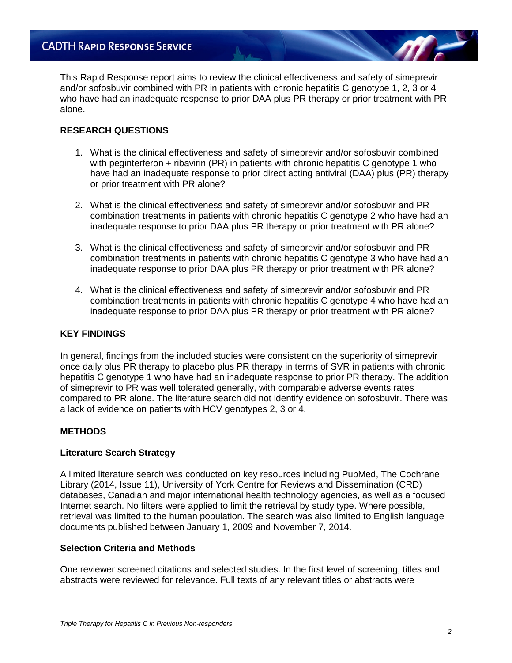This Rapid Response report aims to review the clinical effectiveness and safety of simeprevir and/or sofosbuvir combined with PR in patients with chronic hepatitis C genotype 1, 2, 3 or 4 who have had an inadequate response to prior DAA plus PR therapy or prior treatment with PR alone.

## **RESEARCH QUESTIONS**

- 1. What is the clinical effectiveness and safety of simeprevir and/or sofosbuvir combined with peginterferon + ribavirin (PR) in patients with chronic hepatitis C genotype 1 who have had an inadequate response to prior direct acting antiviral (DAA) plus (PR) therapy or prior treatment with PR alone?
- 2. What is the clinical effectiveness and safety of simeprevir and/or sofosbuvir and PR combination treatments in patients with chronic hepatitis C genotype 2 who have had an inadequate response to prior DAA plus PR therapy or prior treatment with PR alone?
- 3. What is the clinical effectiveness and safety of simeprevir and/or sofosbuvir and PR combination treatments in patients with chronic hepatitis C genotype 3 who have had an inadequate response to prior DAA plus PR therapy or prior treatment with PR alone?
- 4. What is the clinical effectiveness and safety of simeprevir and/or sofosbuvir and PR combination treatments in patients with chronic hepatitis C genotype 4 who have had an inadequate response to prior DAA plus PR therapy or prior treatment with PR alone?

## **KEY FINDINGS**

In general, findings from the included studies were consistent on the superiority of simeprevir once daily plus PR therapy to placebo plus PR therapy in terms of SVR in patients with chronic hepatitis C genotype 1 who have had an inadequate response to prior PR therapy. The addition of simeprevir to PR was well tolerated generally, with comparable adverse events rates compared to PR alone. The literature search did not identify evidence on sofosbuvir. There was a lack of evidence on patients with HCV genotypes 2, 3 or 4.

#### **METHODS**

#### **Literature Search Strategy**

A limited literature search was conducted on key resources including PubMed, The Cochrane Library (2014, Issue 11), University of York Centre for Reviews and Dissemination (CRD) databases, Canadian and major international health technology agencies, as well as a focused Internet search. No filters were applied to limit the retrieval by study type. Where possible, retrieval was limited to the human population. The search was also limited to English language documents published between January 1, 2009 and November 7, 2014.

#### **Selection Criteria and Methods**

One reviewer screened citations and selected studies. In the first level of screening, titles and abstracts were reviewed for relevance. Full texts of any relevant titles or abstracts were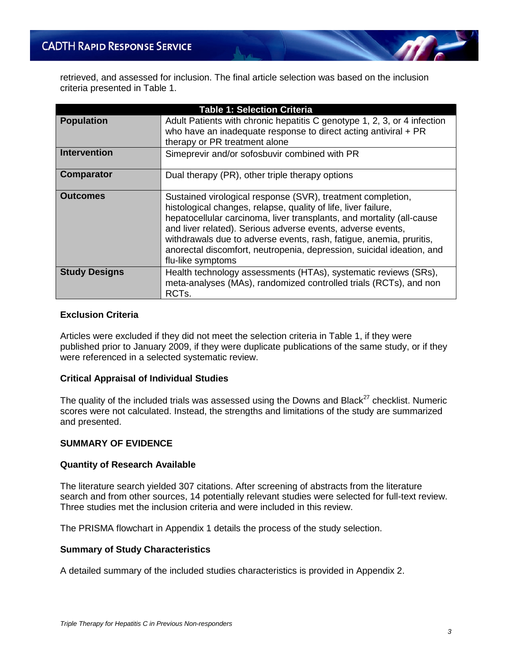retrieved, and assessed for inclusion. The final article selection was based on the inclusion criteria presented in Table 1.

| <b>Table 1: Selection Criteria</b> |                                                                                                                                                                                                                                                                                                                                                                                                                                            |  |  |  |
|------------------------------------|--------------------------------------------------------------------------------------------------------------------------------------------------------------------------------------------------------------------------------------------------------------------------------------------------------------------------------------------------------------------------------------------------------------------------------------------|--|--|--|
| <b>Population</b>                  | Adult Patients with chronic hepatitis C genotype 1, 2, 3, or 4 infection<br>who have an inadequate response to direct acting antiviral $+ PR$<br>therapy or PR treatment alone                                                                                                                                                                                                                                                             |  |  |  |
| <b>Intervention</b>                | Simeprevir and/or sofosbuvir combined with PR                                                                                                                                                                                                                                                                                                                                                                                              |  |  |  |
| <b>Comparator</b>                  | Dual therapy (PR), other triple therapy options                                                                                                                                                                                                                                                                                                                                                                                            |  |  |  |
| <b>Outcomes</b>                    | Sustained virological response (SVR), treatment completion,<br>histological changes, relapse, quality of life, liver failure,<br>hepatocellular carcinoma, liver transplants, and mortality (all-cause<br>and liver related). Serious adverse events, adverse events,<br>withdrawals due to adverse events, rash, fatigue, anemia, pruritis,<br>anorectal discomfort, neutropenia, depression, suicidal ideation, and<br>flu-like symptoms |  |  |  |
| <b>Study Designs</b>               | Health technology assessments (HTAs), systematic reviews (SRs),<br>meta-analyses (MAs), randomized controlled trials (RCTs), and non<br>RCT <sub>s</sub> .                                                                                                                                                                                                                                                                                 |  |  |  |

### **Exclusion Criteria**

Articles were excluded if they did not meet the selection criteria in Table 1, if they were published prior to January 2009, if they were duplicate publications of the same study, or if they were referenced in a selected systematic review.

#### **Critical Appraisal of Individual Studies**

The quality of the included trials was assessed using the Downs and Black<sup>27</sup> checklist. Numeric scores were not calculated. Instead, the strengths and limitations of the study are summarized and presented.

## **SUMMARY OF EVIDENCE**

#### **Quantity of Research Available**

The literature search yielded 307 citations. After screening of abstracts from the literature search and from other sources, 14 potentially relevant studies were selected for full-text review. Three studies met the inclusion criteria and were included in this review.

The PRISMA flowchart in Appendix 1 details the process of the study selection.

#### **Summary of Study Characteristics**

A detailed summary of the included studies characteristics is provided in Appendix 2.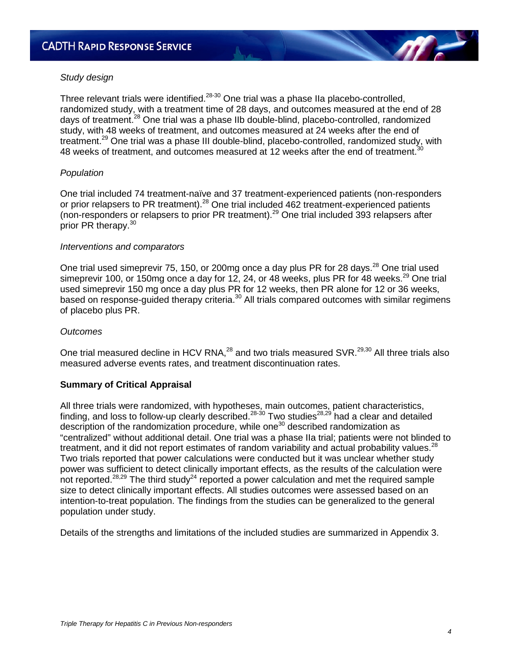#### *Study design*

Three relevant trials were identified.<sup>28-30</sup> One trial was a phase IIa placebo-controlled, randomized study, with a treatment time of 28 days, and outcomes measured at the end of 28 days of treatment.<sup>28</sup> One trial was a phase IIb double-blind, placebo-controlled, randomized study, with 48 weeks of treatment, and outcomes measured at 24 weeks after the end of treatment.<sup>29</sup> One trial was a phase III double-blind, placebo-controlled, randomized study, with 48 weeks of treatment, and outcomes measured at 12 weeks after the end of treatment.<sup>3</sup>

#### *Population*

One trial included 74 treatment-naïve and 37 treatment-experienced patients (non-responders or prior relapsers to PR treatment).<sup>28</sup> One trial included 462 treatment-experienced patients (non-responders or relapsers to prior PR treatment).<sup>29</sup> One trial included 393 relapsers after prior PR therapy.<sup>30</sup>

#### *Interventions and comparators*

One trial used simeprevir 75, 150, or 200mg once a day plus PR for 28 days.<sup>28</sup> One trial used simeprevir 100, or 150mg once a day for 12, 24, or 48 weeks, plus PR for 48 weeks.<sup>29</sup> One trial used simeprevir 150 mg once a day plus PR for 12 weeks, then PR alone for 12 or 36 weeks, based on response-guided therapy criteria.<sup>30</sup> All trials compared outcomes with similar regimens of placebo plus PR.

#### *Outcomes*

One trial measured decline in HCV RNA,<sup>28</sup> and two trials measured SVR.<sup>29,30</sup> All three trials also measured adverse events rates, and treatment discontinuation rates.

#### **Summary of Critical Appraisal**

All three trials were randomized, with hypotheses, main outcomes, patient characteristics, finding, and loss to follow-up clearly described.28-30 Two studies28,29 had a clear and detailed description of the randomization procedure, while one<sup>30</sup> described randomization as "centralized" without additional detail. One trial was a phase IIa trial; patients were not blinded to treatment, and it did not report estimates of random variability and actual probability values.<sup>28</sup> Two trials reported that power calculations were conducted but it was unclear whether study power was sufficient to detect clinically important effects, as the results of the calculation were not reported.<sup>28,29</sup> The third study<sup>24</sup> reported a power calculation and met the required sample size to detect clinically important effects. All studies outcomes were assessed based on an intention-to-treat population. The findings from the studies can be generalized to the general population under study.

Details of the strengths and limitations of the included studies are summarized in Appendix 3.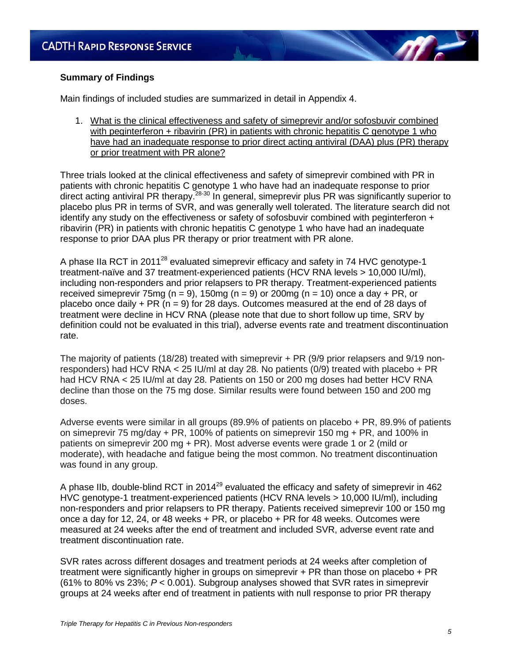## **Summary of Findings**

Main findings of included studies are summarized in detail in Appendix 4.

1. What is the clinical effectiveness and safety of simeprevir and/or sofosbuvir combined with peginterferon + ribavirin (PR) in patients with chronic hepatitis C genotype 1 who have had an inadequate response to prior direct acting antiviral (DAA) plus (PR) therapy or prior treatment with PR alone?

Three trials looked at the clinical effectiveness and safety of simeprevir combined with PR in patients with chronic hepatitis C genotype 1 who have had an inadequate response to prior direct acting antiviral PR therapy.<sup>28-30</sup> In general, simeprevir plus PR was significantly superior to placebo plus PR in terms of SVR, and was generally well tolerated. The literature search did not identify any study on the effectiveness or safety of sofosbuvir combined with peginterferon + ribavirin (PR) in patients with chronic hepatitis C genotype 1 who have had an inadequate response to prior DAA plus PR therapy or prior treatment with PR alone.

A phase IIa RCT in 2011<sup>28</sup> evaluated simeprevir efficacy and safety in 74 HVC genotype-1 treatment-naïve and 37 treatment-experienced patients (HCV RNA levels > 10,000 IU/ml), including non-responders and prior relapsers to PR therapy. Treatment-experienced patients received simeprevir 75mg ( $n = 9$ ), 150mg ( $n = 9$ ) or 200mg ( $n = 10$ ) once a day + PR, or placebo once daily  $+ PR$  (n = 9) for 28 days. Outcomes measured at the end of 28 days of treatment were decline in HCV RNA (please note that due to short follow up time, SRV by definition could not be evaluated in this trial), adverse events rate and treatment discontinuation rate.

The majority of patients (18/28) treated with simeprevir + PR (9/9 prior relapsers and 9/19 nonresponders) had HCV RNA < 25 IU/ml at day 28. No patients (0/9) treated with placebo + PR had HCV RNA < 25 IU/ml at day 28. Patients on 150 or 200 mg doses had better HCV RNA decline than those on the 75 mg dose. Similar results were found between 150 and 200 mg doses.

Adverse events were similar in all groups (89.9% of patients on placebo + PR, 89.9% of patients on simeprevir 75 mg/day + PR, 100% of patients on simeprevir 150 mg + PR, and 100% in patients on simeprevir 200 mg + PR). Most adverse events were grade 1 or 2 (mild or moderate), with headache and fatigue being the most common. No treatment discontinuation was found in any group.

A phase IIb, double-blind RCT in 2014<sup>29</sup> evaluated the efficacy and safety of simeprevir in 462 HVC genotype-1 treatment-experienced patients (HCV RNA levels > 10,000 IU/ml), including non-responders and prior relapsers to PR therapy. Patients received simeprevir 100 or 150 mg once a day for 12, 24, or 48 weeks + PR, or placebo + PR for 48 weeks. Outcomes were measured at 24 weeks after the end of treatment and included SVR, adverse event rate and treatment discontinuation rate.

SVR rates across different dosages and treatment periods at 24 weeks after completion of treatment were significantly higher in groups on simeprevir + PR than those on placebo + PR (61% to 80% vs 23%; *P* < 0.001). Subgroup analyses showed that SVR rates in simeprevir groups at 24 weeks after end of treatment in patients with null response to prior PR therapy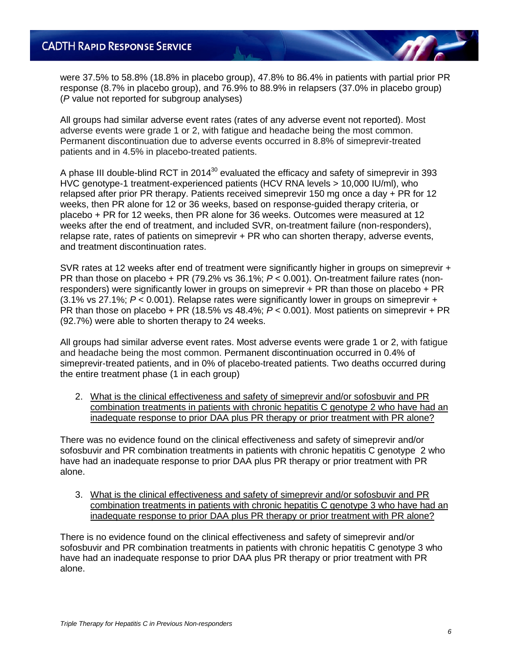were 37.5% to 58.8% (18.8% in placebo group), 47.8% to 86.4% in patients with partial prior PR response (8.7% in placebo group), and 76.9% to 88.9% in relapsers (37.0% in placebo group) (*P* value not reported for subgroup analyses)

All groups had similar adverse event rates (rates of any adverse event not reported). Most adverse events were grade 1 or 2, with fatigue and headache being the most common. Permanent discontinuation due to adverse events occurred in 8.8% of simeprevir-treated patients and in 4.5% in placebo-treated patients.

A phase III double-blind RCT in 2014<sup>30</sup> evaluated the efficacy and safety of simeprevir in 393 HVC genotype-1 treatment-experienced patients (HCV RNA levels > 10,000 IU/ml), who relapsed after prior PR therapy. Patients received simeprevir 150 mg once a day + PR for 12 weeks, then PR alone for 12 or 36 weeks, based on response-guided therapy criteria, or placebo + PR for 12 weeks, then PR alone for 36 weeks. Outcomes were measured at 12 weeks after the end of treatment, and included SVR, on-treatment failure (non-responders), relapse rate, rates of patients on simeprevir + PR who can shorten therapy, adverse events, and treatment discontinuation rates.

SVR rates at 12 weeks after end of treatment were significantly higher in groups on simeprevir + PR than those on placebo + PR (79.2% vs 36.1%; *P* < 0.001). On-treatment failure rates (nonresponders) were significantly lower in groups on simeprevir + PR than those on placebo + PR (3.1% vs 27.1%; *P* < 0.001). Relapse rates were significantly lower in groups on simeprevir + PR than those on placebo + PR (18.5% vs 48.4%; *P* < 0.001). Most patients on simeprevir + PR (92.7%) were able to shorten therapy to 24 weeks.

All groups had similar adverse event rates. Most adverse events were grade 1 or 2, with fatigue and headache being the most common. Permanent discontinuation occurred in 0.4% of simeprevir-treated patients, and in 0% of placebo-treated patients. Two deaths occurred during the entire treatment phase (1 in each group)

2. What is the clinical effectiveness and safety of simeprevir and/or sofosbuvir and PR combination treatments in patients with chronic hepatitis C genotype 2 who have had an inadequate response to prior DAA plus PR therapy or prior treatment with PR alone?

There was no evidence found on the clinical effectiveness and safety of simeprevir and/or sofosbuvir and PR combination treatments in patients with chronic hepatitis C genotype 2 who have had an inadequate response to prior DAA plus PR therapy or prior treatment with PR alone.

3. What is the clinical effectiveness and safety of simeprevir and/or sofosbuvir and PR combination treatments in patients with chronic hepatitis C genotype 3 who have had an inadequate response to prior DAA plus PR therapy or prior treatment with PR alone?

There is no evidence found on the clinical effectiveness and safety of simeprevir and/or sofosbuvir and PR combination treatments in patients with chronic hepatitis C genotype 3 who have had an inadequate response to prior DAA plus PR therapy or prior treatment with PR alone.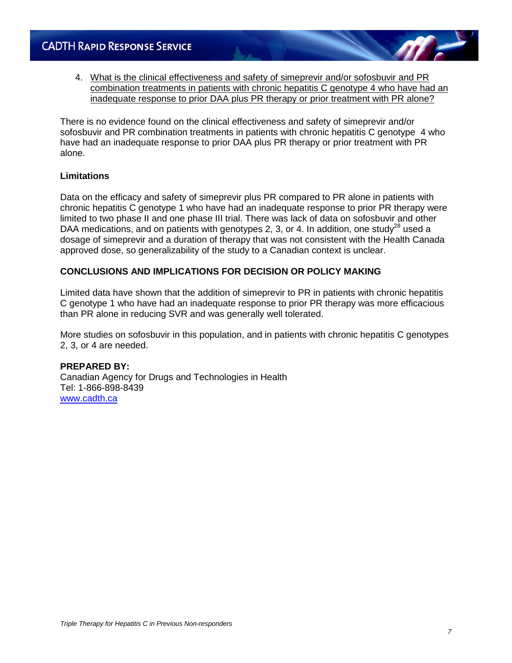4. What is the clinical effectiveness and safety of simeprevir and/or sofosbuvir and PR combination treatments in patients with chronic hepatitis C genotype 4 who have had an inadequate response to prior DAA plus PR therapy or prior treatment with PR alone?

There is no evidence found on the clinical effectiveness and safety of simeprevir and/or sofosbuvir and PR combination treatments in patients with chronic hepatitis C genotype 4 who have had an inadequate response to prior DAA plus PR therapy or prior treatment with PR alone.

## **Limitations**

Data on the efficacy and safety of simeprevir plus PR compared to PR alone in patients with chronic hepatitis C genotype 1 who have had an inadequate response to prior PR therapy were limited to two phase II and one phase III trial. There was lack of data on sofosbuvir and other DAA medications, and on patients with genotypes 2, 3, or 4. In addition, one study<sup>28</sup> used a dosage of simeprevir and a duration of therapy that was not consistent with the Health Canada approved dose, so generalizability of the study to a Canadian context is unclear.

## **CONCLUSIONS AND IMPLICATIONS FOR DECISION OR POLICY MAKING**

Limited data have shown that the addition of simeprevir to PR in patients with chronic hepatitis C genotype 1 who have had an inadequate response to prior PR therapy was more efficacious than PR alone in reducing SVR and was generally well tolerated.

More studies on sofosbuvir in this population, and in patients with chronic hepatitis C genotypes 2, 3, or 4 are needed.

#### **PREPARED BY:**

Canadian Agency for Drugs and Technologies in Health Tel: 1-866-898-8439 [www.cadth.ca](http://www.cadth.ca/)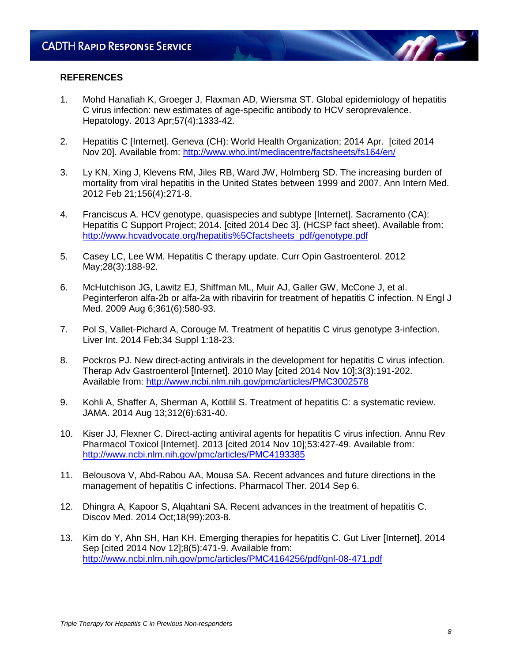#### **REFERENCES**

- 1. Mohd Hanafiah K, Groeger J, Flaxman AD, Wiersma ST. Global epidemiology of hepatitis C virus infection: new estimates of age-specific antibody to HCV seroprevalence. Hepatology. 2013 Apr;57(4):1333-42.
- 2. Hepatitis C [Internet]. Geneva (CH): World Health Organization; 2014 Apr. [cited 2014 Nov 20]. Available from:<http://www.who.int/mediacentre/factsheets/fs164/en/>
- 3. Ly KN, Xing J, Klevens RM, Jiles RB, Ward JW, Holmberg SD. The increasing burden of mortality from viral hepatitis in the United States between 1999 and 2007. Ann Intern Med. 2012 Feb 21;156(4):271-8.
- 4. Franciscus A. HCV genotype, quasispecies and subtype [Internet]. Sacramento (CA): Hepatitis C Support Project; 2014. [cited 2014 Dec 3]. (HCSP fact sheet). Available from: [http://www.hcvadvocate.org/hepatitis%5Cfactsheets\\_pdf/genotype.pdf](http://www.hcvadvocate.org/hepatitis%5Cfactsheets_pdf/genotype.pdf)
- 5. Casey LC, Lee WM. Hepatitis C therapy update. Curr Opin Gastroenterol. 2012 May;28(3):188-92.
- 6. McHutchison JG, Lawitz EJ, Shiffman ML, Muir AJ, Galler GW, McCone J, et al. Peginterferon alfa-2b or alfa-2a with ribavirin for treatment of hepatitis C infection. N Engl J Med. 2009 Aug 6;361(6):580-93.
- 7. Pol S, Vallet-Pichard A, Corouge M. Treatment of hepatitis C virus genotype 3-infection. Liver Int. 2014 Feb;34 Suppl 1:18-23.
- 8. Pockros PJ. New direct-acting antivirals in the development for hepatitis C virus infection. Therap Adv Gastroenterol [Internet]. 2010 May [cited 2014 Nov 10];3(3):191-202. Available from:<http://www.ncbi.nlm.nih.gov/pmc/articles/PMC3002578>
- 9. Kohli A, Shaffer A, Sherman A, Kottilil S. Treatment of hepatitis C: a systematic review. JAMA. 2014 Aug 13;312(6):631-40.
- 10. Kiser JJ, Flexner C. Direct-acting antiviral agents for hepatitis C virus infection. Annu Rev Pharmacol Toxicol [Internet]. 2013 [cited 2014 Nov 10];53:427-49. Available from: <http://www.ncbi.nlm.nih.gov/pmc/articles/PMC4193385>
- 11. Belousova V, Abd-Rabou AA, Mousa SA. Recent advances and future directions in the management of hepatitis C infections. Pharmacol Ther. 2014 Sep 6.
- 12. Dhingra A, Kapoor S, Alqahtani SA. Recent advances in the treatment of hepatitis C. Discov Med. 2014 Oct;18(99):203-8.
- 13. Kim do Y, Ahn SH, Han KH. Emerging therapies for hepatitis C. Gut Liver [Internet]. 2014 Sep [cited 2014 Nov 12];8(5):471-9. Available from: <http://www.ncbi.nlm.nih.gov/pmc/articles/PMC4164256/pdf/gnl-08-471.pdf>

**AT**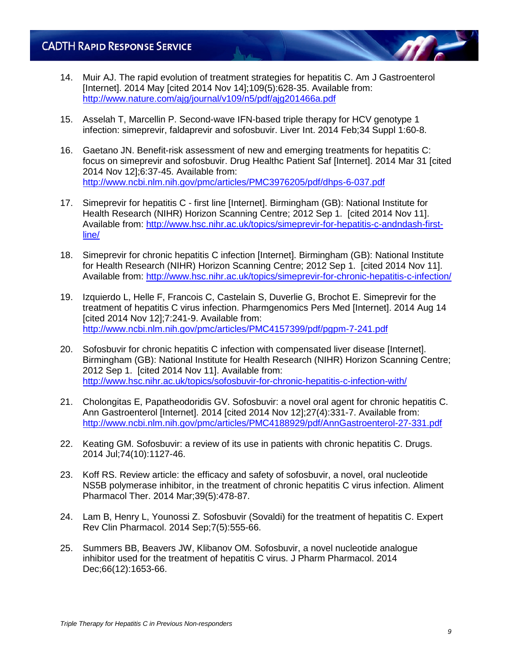- 14. Muir AJ. The rapid evolution of treatment strategies for hepatitis C. Am J Gastroenterol [Internet]. 2014 May [cited 2014 Nov 14];109(5):628-35. Available from: <http://www.nature.com/ajg/journal/v109/n5/pdf/ajg201466a.pdf>
- 15. Asselah T, Marcellin P. Second-wave IFN-based triple therapy for HCV genotype 1 infection: simeprevir, faldaprevir and sofosbuvir. Liver Int. 2014 Feb;34 Suppl 1:60-8.
- 16. Gaetano JN. Benefit-risk assessment of new and emerging treatments for hepatitis C: focus on simeprevir and sofosbuvir. Drug Healthc Patient Saf [Internet]. 2014 Mar 31 [cited 2014 Nov 12];6:37-45. Available from: <http://www.ncbi.nlm.nih.gov/pmc/articles/PMC3976205/pdf/dhps-6-037.pdf>
- 17. Simeprevir for hepatitis C first line [Internet]. Birmingham (GB): National Institute for Health Research (NIHR) Horizon Scanning Centre; 2012 Sep 1. [cited 2014 Nov 11]. Available from: [http://www.hsc.nihr.ac.uk/topics/simeprevir-for-hepatitis-c-andndash-first](http://www.hsc.nihr.ac.uk/topics/simeprevir-for-hepatitis-c-andndash-first-line/)[line/](http://www.hsc.nihr.ac.uk/topics/simeprevir-for-hepatitis-c-andndash-first-line/)
- 18. Simeprevir for chronic hepatitis C infection [Internet]. Birmingham (GB): National Institute for Health Research (NIHR) Horizon Scanning Centre; 2012 Sep 1. [cited 2014 Nov 11]. Available from:<http://www.hsc.nihr.ac.uk/topics/simeprevir-for-chronic-hepatitis-c-infection/>
- 19. Izquierdo L, Helle F, Francois C, Castelain S, Duverlie G, Brochot E. Simeprevir for the treatment of hepatitis C virus infection. Pharmgenomics Pers Med [Internet]. 2014 Aug 14 [cited 2014 Nov 12];7:241-9. Available from: <http://www.ncbi.nlm.nih.gov/pmc/articles/PMC4157399/pdf/pgpm-7-241.pdf>
- 20. Sofosbuvir for chronic hepatitis C infection with compensated liver disease [Internet]. Birmingham (GB): National Institute for Health Research (NIHR) Horizon Scanning Centre; 2012 Sep 1. [cited 2014 Nov 11]. Available from: <http://www.hsc.nihr.ac.uk/topics/sofosbuvir-for-chronic-hepatitis-c-infection-with/>
- 21. Cholongitas E, Papatheodoridis GV. Sofosbuvir: a novel oral agent for chronic hepatitis C. Ann Gastroenterol [Internet]. 2014 [cited 2014 Nov 12];27(4):331-7. Available from: <http://www.ncbi.nlm.nih.gov/pmc/articles/PMC4188929/pdf/AnnGastroenterol-27-331.pdf>
- 22. Keating GM. Sofosbuvir: a review of its use in patients with chronic hepatitis C. Drugs. 2014 Jul;74(10):1127-46.
- 23. Koff RS. Review article: the efficacy and safety of sofosbuvir, a novel, oral nucleotide NS5B polymerase inhibitor, in the treatment of chronic hepatitis C virus infection. Aliment Pharmacol Ther. 2014 Mar;39(5):478-87.
- 24. Lam B, Henry L, Younossi Z. Sofosbuvir (Sovaldi) for the treatment of hepatitis C. Expert Rev Clin Pharmacol. 2014 Sep;7(5):555-66.
- 25. Summers BB, Beavers JW, Klibanov OM. Sofosbuvir, a novel nucleotide analogue inhibitor used for the treatment of hepatitis C virus. J Pharm Pharmacol. 2014 Dec;66(12):1653-66.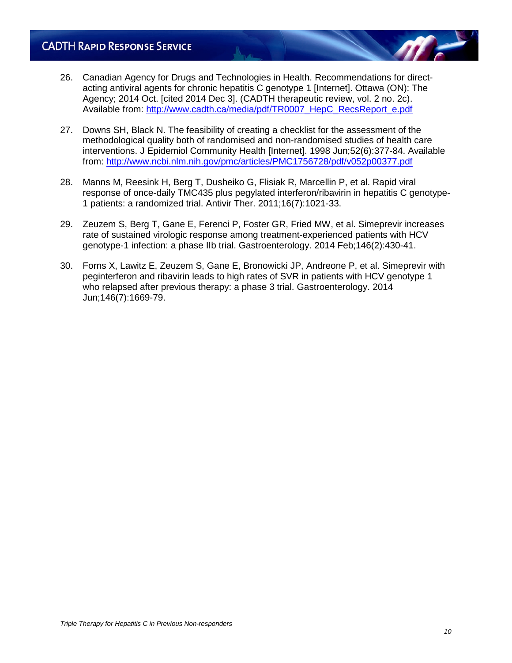- 26. Canadian Agency for Drugs and Technologies in Health. Recommendations for directacting antiviral agents for chronic hepatitis C genotype 1 [Internet]. Ottawa (ON): The Agency; 2014 Oct. [cited 2014 Dec 3]. (CADTH therapeutic review, vol. 2 no. 2c). Available from: [http://www.cadth.ca/media/pdf/TR0007\\_HepC\\_RecsReport\\_e.pdf](http://www.cadth.ca/media/pdf/TR0007_HepC_RecsReport_e.pdf)
- 27. Downs SH, Black N. The feasibility of creating a checklist for the assessment of the methodological quality both of randomised and non-randomised studies of health care interventions. J Epidemiol Community Health [Internet]. 1998 Jun;52(6):377-84. Available from:<http://www.ncbi.nlm.nih.gov/pmc/articles/PMC1756728/pdf/v052p00377.pdf>
- 28. Manns M, Reesink H, Berg T, Dusheiko G, Flisiak R, Marcellin P, et al. Rapid viral response of once-daily TMC435 plus pegylated interferon/ribavirin in hepatitis C genotype-1 patients: a randomized trial. Antivir Ther. 2011;16(7):1021-33.
- 29. Zeuzem S, Berg T, Gane E, Ferenci P, Foster GR, Fried MW, et al. Simeprevir increases rate of sustained virologic response among treatment-experienced patients with HCV genotype-1 infection: a phase IIb trial. Gastroenterology. 2014 Feb;146(2):430-41.
- 30. Forns X, Lawitz E, Zeuzem S, Gane E, Bronowicki JP, Andreone P, et al. Simeprevir with peginterferon and ribavirin leads to high rates of SVR in patients with HCV genotype 1 who relapsed after previous therapy: a phase 3 trial. Gastroenterology. 2014 Jun;146(7):1669-79.

m.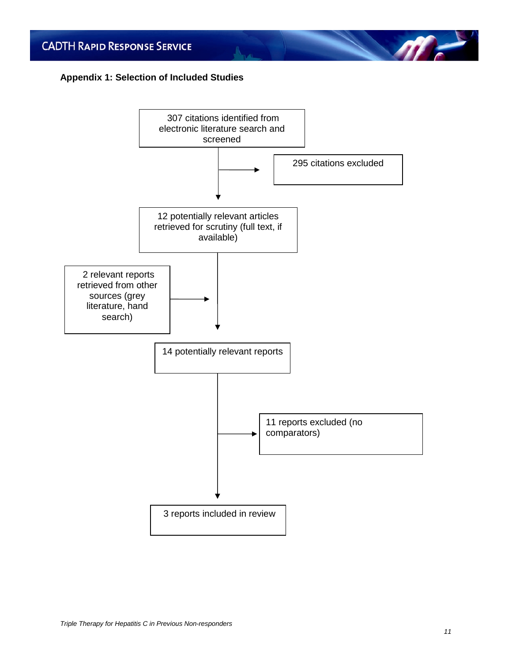## **Appendix 1: Selection of Included Studies**



 $\eta$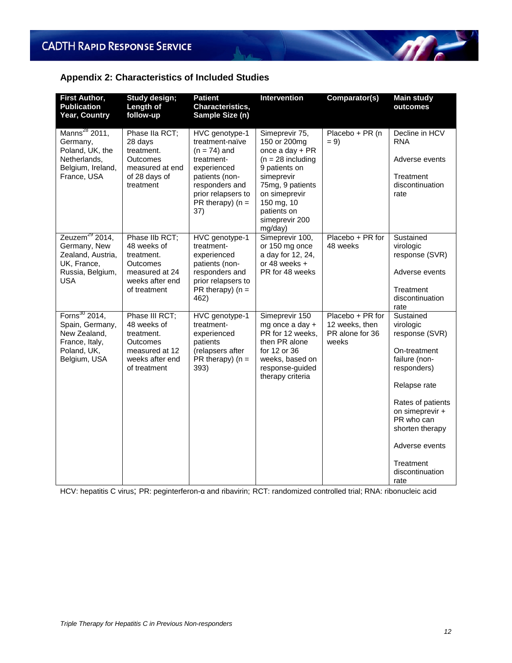## **Appendix 2: Characteristics of Included Studies**

| <b>First Author,</b><br><b>Publication</b><br>Year, Country                                                      | Study design;<br>Length of<br>follow-up                                                                             | <b>Patient</b><br>Characteristics,<br>Sample Size (n)                                                                                                                      | <b>Intervention</b>                                                                                                                                                                                     | Comparator(s)                                                  | <b>Main study</b><br>outcomes                                                                                                                                                                                                               |
|------------------------------------------------------------------------------------------------------------------|---------------------------------------------------------------------------------------------------------------------|----------------------------------------------------------------------------------------------------------------------------------------------------------------------------|---------------------------------------------------------------------------------------------------------------------------------------------------------------------------------------------------------|----------------------------------------------------------------|---------------------------------------------------------------------------------------------------------------------------------------------------------------------------------------------------------------------------------------------|
| Manns <sup>28</sup> 2011,<br>Germany,<br>Poland, UK, the<br>Netherlands,<br>Belgium, Ireland,<br>France, USA     | Phase IIa RCT;<br>28 days<br>treatment.<br><b>Outcomes</b><br>measured at end<br>of 28 days of<br>treatment         | HVC genotype-1<br>treatment-naïve<br>$(n = 74)$ and<br>treatment-<br>experienced<br>patients (non-<br>responders and<br>prior relapsers to<br>$PR$ therapy) ( $n =$<br>37) | Simeprevir 75,<br>150 or 200mg<br>once a day + PR<br>$(n = 28)$ including<br>9 patients on<br>simeprevir<br>75mg, 9 patients<br>on simeprevir<br>150 mg, 10<br>patients on<br>simeprevir 200<br>mg/day) | Placebo + PR (n<br>$= 9$                                       | Decline in HCV<br><b>RNA</b><br>Adverse events<br>Treatment<br>discontinuation<br>rate                                                                                                                                                      |
| Zeuzem <sup>29</sup> 2014,<br>Germany, New<br>Zealand, Austria,<br>UK, France,<br>Russia, Belgium,<br><b>USA</b> | Phase IIb RCT;<br>48 weeks of<br>treatment.<br><b>Outcomes</b><br>measured at 24<br>weeks after end<br>of treatment | HVC genotype-1<br>treatment-<br>experienced<br>patients (non-<br>responders and<br>prior relapsers to<br>PR therapy) $(n =$<br>462)                                        | Simeprevir 100,<br>or 150 mg once<br>a day for 12, 24,<br>or 48 weeks +<br>PR for 48 weeks                                                                                                              | Placebo + PR for<br>48 weeks                                   | Sustained<br>virologic<br>response (SVR)<br>Adverse events<br>Treatment<br>discontinuation<br>rate                                                                                                                                          |
| Forns $^{30}$ 2014,<br>Spain, Germany,<br>New Zealand,<br>France, Italy,<br>Poland, UK,<br>Belgium, USA          | Phase III RCT;<br>48 weeks of<br>treatment.<br>Outcomes<br>measured at 12<br>weeks after end<br>of treatment        | HVC genotype-1<br>treatment-<br>experienced<br>patients<br>(relapsers after<br>$PR$ therapy) ( $n =$<br>393)                                                               | Simeprevir 150<br>mg once a day +<br>PR for 12 weeks,<br>then PR alone<br>for 12 or 36<br>weeks, based on<br>response-guided<br>therapy criteria                                                        | Placebo + PR for<br>12 weeks, then<br>PR alone for 36<br>weeks | Sustained<br>virologic<br>response (SVR)<br>On-treatment<br>failure (non-<br>responders)<br>Relapse rate<br>Rates of patients<br>on simeprevir +<br>PR who can<br>shorten therapy<br>Adverse events<br>Treatment<br>discontinuation<br>rate |

HCV: hepatitis C virus; PR: peginterferon-α and ribavirin; RCT: randomized controlled trial; RNA: ribonucleic acid

M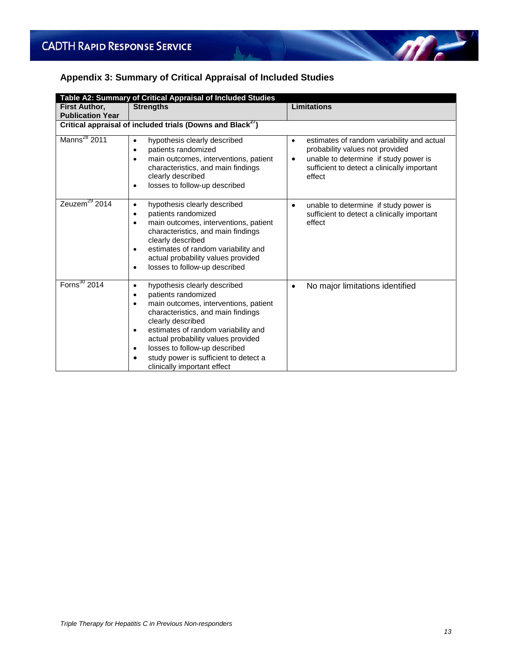# **Appendix 3: Summary of Critical Appraisal of Included Studies**

| Table A2: Summary of Critical Appraisal of Included Studies      |                                                                                                                                                                                                                                                                                                                                                                                                        |                                                                                                                                                                                                   |  |  |  |  |  |
|------------------------------------------------------------------|--------------------------------------------------------------------------------------------------------------------------------------------------------------------------------------------------------------------------------------------------------------------------------------------------------------------------------------------------------------------------------------------------------|---------------------------------------------------------------------------------------------------------------------------------------------------------------------------------------------------|--|--|--|--|--|
| <b>First Author,</b>                                             | <b>Strengths</b>                                                                                                                                                                                                                                                                                                                                                                                       | <b>Limitations</b>                                                                                                                                                                                |  |  |  |  |  |
| <b>Publication Year</b>                                          |                                                                                                                                                                                                                                                                                                                                                                                                        |                                                                                                                                                                                                   |  |  |  |  |  |
| Critical appraisal of included trials (Downs and Black $^{27}$ ) |                                                                                                                                                                                                                                                                                                                                                                                                        |                                                                                                                                                                                                   |  |  |  |  |  |
| Manns <sup>28</sup> 2011                                         | hypothesis clearly described<br>patients randomized<br>$\bullet$<br>main outcomes, interventions, patient<br>٠<br>characteristics, and main findings<br>clearly described<br>losses to follow-up described<br>٠                                                                                                                                                                                        | estimates of random variability and actual<br>$\bullet$<br>probability values not provided<br>unable to determine if study power is<br>٠<br>sufficient to detect a clinically important<br>effect |  |  |  |  |  |
| Zeuzem $^{29}$ 2014                                              | hypothesis clearly described<br>$\bullet$<br>patients randomized<br>$\bullet$<br>main outcomes, interventions, patient<br>$\bullet$<br>characteristics, and main findings<br>clearly described<br>estimates of random variability and<br>$\bullet$<br>actual probability values provided<br>losses to follow-up described<br>٠                                                                         | unable to determine if study power is<br>$\bullet$<br>sufficient to detect a clinically important<br>effect                                                                                       |  |  |  |  |  |
| Forns <sup>30</sup> 2014                                         | hypothesis clearly described<br>$\bullet$<br>patients randomized<br>$\bullet$<br>main outcomes, interventions, patient<br>$\bullet$<br>characteristics, and main findings<br>clearly described<br>estimates of random variability and<br>٠<br>actual probability values provided<br>losses to follow-up described<br>$\bullet$<br>study power is sufficient to detect a<br>clinically important effect | No major limitations identified<br>٠                                                                                                                                                              |  |  |  |  |  |

m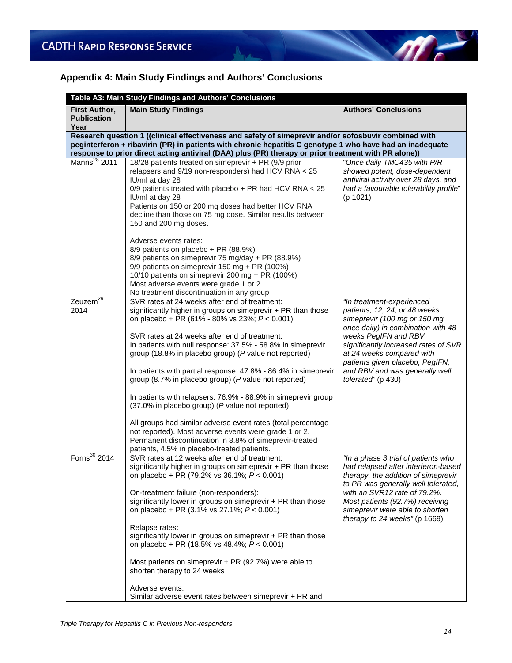# **Appendix 4: Main Study Findings and Authors' Conclusions**

 $\Lambda$ 

| Table A3: Main Study Findings and Authors' Conclusions                                                                                                                                                                                                                                                                     |                                                                                                                                                                                                                                                                                                                                                                                                                                                                                                                                                     |                                                                                                                                                                                                                                                                                                 |  |  |
|----------------------------------------------------------------------------------------------------------------------------------------------------------------------------------------------------------------------------------------------------------------------------------------------------------------------------|-----------------------------------------------------------------------------------------------------------------------------------------------------------------------------------------------------------------------------------------------------------------------------------------------------------------------------------------------------------------------------------------------------------------------------------------------------------------------------------------------------------------------------------------------------|-------------------------------------------------------------------------------------------------------------------------------------------------------------------------------------------------------------------------------------------------------------------------------------------------|--|--|
| <b>First Author,</b><br><b>Publication</b><br>Year                                                                                                                                                                                                                                                                         | <b>Main Study Findings</b>                                                                                                                                                                                                                                                                                                                                                                                                                                                                                                                          | <b>Authors' Conclusions</b>                                                                                                                                                                                                                                                                     |  |  |
| Research question 1 ((clinical effectiveness and safety of simeprevir and/or sofosbuvir combined with<br>peginterferon + ribavirin (PR) in patients with chronic hepatitis C genotype 1 who have had an inadequate<br>response to prior direct acting antiviral (DAA) plus (PR) therapy or prior treatment with PR alone)) |                                                                                                                                                                                                                                                                                                                                                                                                                                                                                                                                                     |                                                                                                                                                                                                                                                                                                 |  |  |
| Manns <sup>28</sup> 2011                                                                                                                                                                                                                                                                                                   | 18/28 patients treated on simeprevir + PR (9/9 prior<br>relapsers and 9/19 non-responders) had HCV RNA < 25<br>IU/ml at day 28<br>0/9 patients treated with placebo + PR had HCV RNA $<$ 25<br>IU/ml at day 28<br>Patients on 150 or 200 mg doses had better HCV RNA<br>decline than those on 75 mg dose. Similar results between<br>150 and 200 mg doses.                                                                                                                                                                                          | "Once daily TMC435 with P/R<br>showed potent, dose-dependent<br>antiviral activity over 28 days, and<br>had a favourable tolerability profile"<br>(p 1021)                                                                                                                                      |  |  |
|                                                                                                                                                                                                                                                                                                                            | Adverse events rates:<br>8/9 patients on placebo + PR (88.9%)<br>8/9 patients on simeprevir 75 mg/day + PR (88.9%)<br>9/9 patients on simeprevir 150 mg + PR (100%)<br>10/10 patients on simeprevir 200 mg + PR (100%)<br>Most adverse events were grade 1 or 2<br>No treatment discontinuation in any group                                                                                                                                                                                                                                        |                                                                                                                                                                                                                                                                                                 |  |  |
| Zeuzem <sup>29</sup><br>2014                                                                                                                                                                                                                                                                                               | SVR rates at 24 weeks after end of treatment:<br>significantly higher in groups on simeprevir + PR than those<br>on placebo + PR (61% - 80% vs 23%; $P < 0.001$ )<br>SVR rates at 24 weeks after end of treatment:<br>In patients with null response: 37.5% - 58.8% in simeprevir<br>group (18.8% in placebo group) (P value not reported)                                                                                                                                                                                                          | "In treatment-experienced<br>patients, 12, 24, or 48 weeks<br>simeprevir (100 mg or 150 mg<br>once daily) in combination with 48<br>weeks PegIFN and RBV<br>significantly increased rates of SVR<br>at 24 weeks compared with<br>patients given placebo, PegIFN,                                |  |  |
|                                                                                                                                                                                                                                                                                                                            | In patients with partial response: 47.8% - 86.4% in simeprevir<br>group (8.7% in placebo group) (P value not reported)<br>In patients with relapsers: 76.9% - 88.9% in simeprevir group<br>(37.0% in placebo group) (P value not reported)<br>All groups had similar adverse event rates (total percentage<br>not reported). Most adverse events were grade 1 or 2.<br>Permanent discontinuation in 8.8% of simeprevir-treated<br>patients, 4.5% in placebo-treated patients.                                                                       | and RBV and was generally well<br>tolerated" (p 430)                                                                                                                                                                                                                                            |  |  |
| Forns $30$ 2014                                                                                                                                                                                                                                                                                                            | SVR rates at 12 weeks after end of treatment:<br>significantly higher in groups on simeprevir + PR than those<br>on placebo + PR (79.2% vs 36.1%; $P < 0.001$ )<br>On-treatment failure (non-responders):<br>significantly lower in groups on simeprevir + PR than those<br>on placebo + PR (3.1% vs 27.1%; P < 0.001)<br>Relapse rates:<br>significantly lower in groups on simeprevir + PR than those<br>on placebo + PR (18.5% vs 48.4%; $P < 0.001$ )<br>Most patients on simeprevir $+$ PR (92.7%) were able to<br>shorten therapy to 24 weeks | "In a phase 3 trial of patients who<br>had relapsed after interferon-based<br>therapy, the addition of simeprevir<br>to PR was generally well tolerated,<br>with an SVR12 rate of 79.2%.<br>Most patients (92.7%) receiving<br>simeprevir were able to shorten<br>therapy to 24 weeks" (p 1669) |  |  |
|                                                                                                                                                                                                                                                                                                                            | Adverse events:<br>Similar adverse event rates between simeprevir + PR and                                                                                                                                                                                                                                                                                                                                                                                                                                                                          |                                                                                                                                                                                                                                                                                                 |  |  |

 $\mathscr{M}$